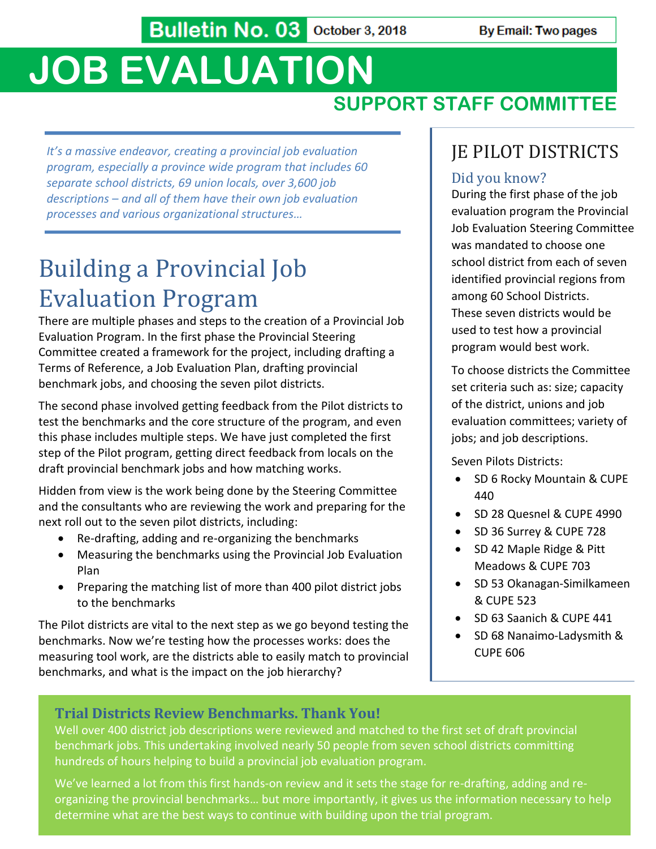Bulletin No. 03 October 3, 2018

# **JOB EVALUATION**

## **SUPPORT STAFF COMMITTEE**

*It's a massive endeavor, creating a provincial job evaluation program, especially a province wide program that includes 60 separate school districts, 69 union locals, over 3,600 job descriptions – and all of them have their own job evaluation processes and various organizational structures…*

## Building a Provincial Job Evaluation Program

There are multiple phases and steps to the creation of a Provincial Job Evaluation Program. In the first phase the Provincial Steering Committee created a framework for the project, including drafting a Terms of Reference, a Job Evaluation Plan, drafting provincial benchmark jobs, and choosing the seven pilot districts.

The second phase involved getting feedback from the Pilot districts to test the benchmarks and the core structure of the program, and even this phase includes multiple steps. We have just completed the first step of the Pilot program, getting direct feedback from locals on the draft provincial benchmark jobs and how matching works.

Hidden from view is the work being done by the Steering Committee and the consultants who are reviewing the work and preparing for the next roll out to the seven pilot districts, including:

- Re-drafting, adding and re-organizing the benchmarks
- Measuring the benchmarks using the Provincial Job Evaluation Plan
- Preparing the matching list of more than 400 pilot district jobs to the benchmarks

The Pilot districts are vital to the next step as we go beyond testing the benchmarks. Now we're testing how the processes works: does the measuring tool work, are the districts able to easily match to provincial benchmarks, and what is the impact on the job hierarchy?

### JE PILOT DISTRICTS

#### Did you know?

During the first phase of the job evaluation program the Provincial Job Evaluation Steering Committee was mandated to choose one school district from each of seven identified provincial regions from among 60 School Districts. These seven districts would be used to test how a provincial program would best work.

To choose districts the Committee set criteria such as: size; capacity of the district, unions and job evaluation committees; variety of jobs; and job descriptions.

Seven Pilots Districts:

- SD 6 Rocky Mountain & CUPE 440
- SD 28 Quesnel & CUPE 4990
- SD 36 Surrey & CUPE 728
- SD 42 Maple Ridge & Pitt Meadows & CUPE 703
- SD 53 Okanagan-Similkameen & CUPE 523
- SD 63 Saanich & CUPE 441
- SD 68 Nanaimo-Ladysmith & CUPE 606

#### **Trial Districts Review Benchmarks. Thank You!**

Well over 400 district job descriptions were reviewed and matched to the first set of draft provincial benchmark jobs. This undertaking involved nearly 50 people from seven school districts committing hundreds of hours helping to build a provincial job evaluation program.

We've learned a lot from this first hands-on review and it sets the stage for re-drafting, adding and reorganizing the provincial benchmarks… but more importantly, it gives us the information necessary to help determine what are the best ways to continue with building upon the trial program.